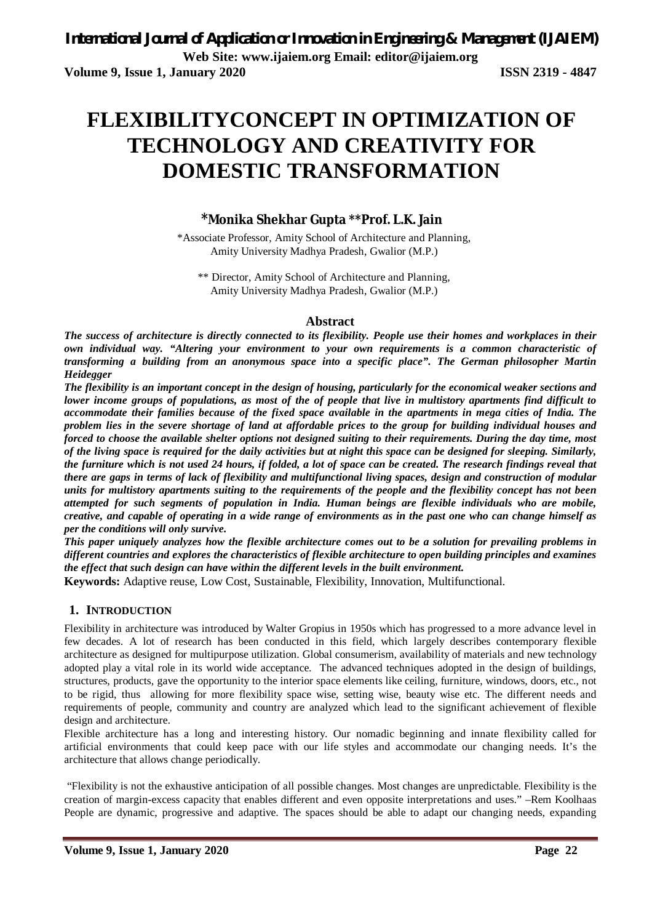# **FLEXIBILITYCONCEPT IN OPTIMIZATION OF TECHNOLOGY AND CREATIVITY FOR DOMESTIC TRANSFORMATION**

# **\*Monika Shekhar Gupta \*\*Prof. L.K. Jain**

\*Associate Professor, Amity School of Architecture and Planning, Amity University Madhya Pradesh, Gwalior (M.P.)

\*\* Director, Amity School of Architecture and Planning, Amity University Madhya Pradesh, Gwalior (M.P.)

### **Abstract**

*The success of architecture is directly connected to its flexibility. People use their homes and workplaces in their own individual way. "Altering your environment to your own requirements is a common characteristic of transforming a building from an anonymous space into a specific place". The German philosopher Martin Heidegger*

*The flexibility is an important concept in the design of housing, particularly for the economical weaker sections and lower income groups of populations, as most of the of people that live in multistory apartments find difficult to accommodate their families because of the fixed space available in the apartments in mega cities of India. The problem lies in the severe shortage of land at affordable prices to the group for building individual houses and forced to choose the available shelter options not designed suiting to their requirements. During the day time, most of the living space is required for the daily activities but at night this space can be designed for sleeping. Similarly, the furniture which is not used 24 hours, if folded, a lot of space can be created. The research findings reveal that there are gaps in terms of lack of flexibility and multifunctional living spaces, design and construction of modular units for multistory apartments suiting to the requirements of the people and the flexibility concept has not been attempted for such segments of population in India. Human beings are flexible individuals who are mobile, creative, and capable of operating in a wide range of environments as in the past one who can change himself as per the conditions will only survive.* 

*This paper uniquely analyzes how the flexible architecture comes out to be a solution for prevailing problems in different countries and explores the characteristics of flexible architecture to open building principles and examines the effect that such design can have within the different levels in the built environment.*

**Keywords:** Adaptive reuse, Low Cost, Sustainable, Flexibility, Innovation, Multifunctional.

## **1. INTRODUCTION**

Flexibility in architecture was introduced by Walter Gropius in 1950s which has progressed to a more advance level in few decades. A lot of research has been conducted in this field, which largely describes contemporary flexible architecture as designed for multipurpose utilization. Global consumerism, availability of materials and new technology adopted play a vital role in its world wide acceptance. The advanced techniques adopted in the design of buildings, structures, products, gave the opportunity to the interior space elements like ceiling, furniture, windows, doors, etc., not to be rigid, thus allowing for more flexibility space wise, setting wise, beauty wise etc. The different needs and requirements of people, community and country are analyzed which lead to the significant achievement of flexible design and architecture.

Flexible architecture has a long and interesting history. Our nomadic beginning and innate flexibility called for artificial environments that could keep pace with our life styles and accommodate our changing needs. It's the architecture that allows change periodically.

"Flexibility is not the exhaustive anticipation of all possible changes. Most changes are unpredictable. Flexibility is the creation of margin-excess capacity that enables different and even opposite interpretations and uses." –Rem Koolhaas People are dynamic, progressive and adaptive. The spaces should be able to adapt our changing needs, expanding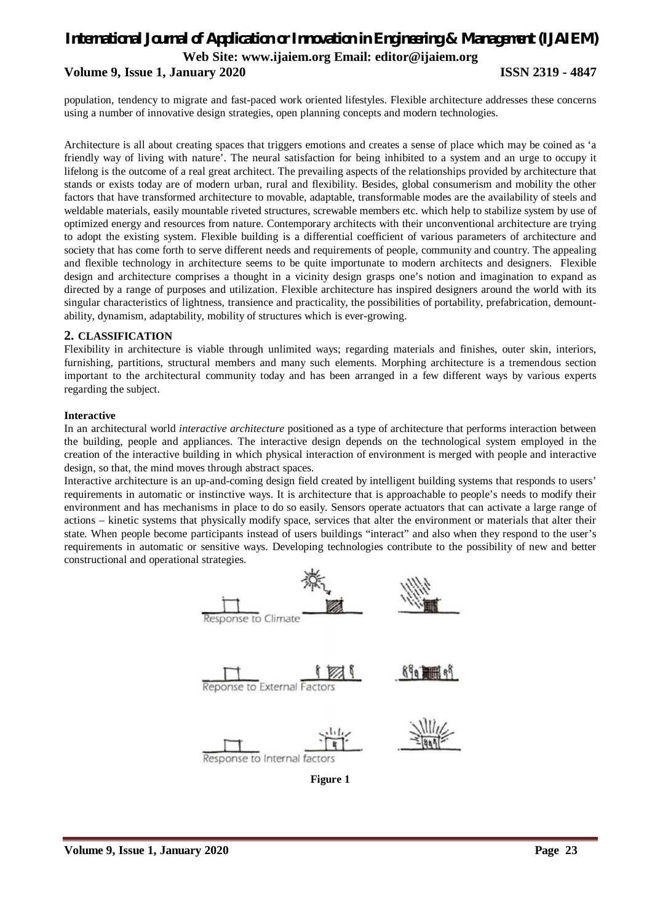## **Volume 9, Issue 1, January 2020 ISSN 2319 - 4847**

population, tendency to migrate and fast-paced work oriented lifestyles. Flexible architecture addresses these concerns using a number of innovative design strategies, open planning concepts and modern technologies.

Architecture is all about creating spaces that triggers emotions and creates a sense of place which may be coined as 'a friendly way of living with nature'. The neural satisfaction for being inhibited to a system and an urge to occupy it lifelong is the outcome of a real great architect. The prevailing aspects of the relationships provided by architecture that stands or exists today are of modern urban, rural and flexibility. Besides, global consumerism and mobility the other factors that have transformed architecture to movable, adaptable, transformable modes are the availability of steels and weldable materials, easily mountable riveted structures, screwable members etc. which help to stabilize system by use of optimized energy and resources from nature. Contemporary architects with their unconventional architecture are trying to adopt the existing system. Flexible building is a differential coefficient of various parameters of architecture and society that has come forth to serve different needs and requirements of people, community and country. The appealing and flexible technology in architecture seems to be quite importunate to modern architects and designers. Flexible design and architecture comprises a thought in a vicinity design grasps one's notion and imagination to expand as directed by a range of purposes and utilization. Flexible architecture has inspired designers around the world with its singular characteristics of lightness, transience and practicality, the possibilities of portability, prefabrication, demountability, dynamism, adaptability, mobility of structures which is ever-growing.

#### **2. CLASSIFICATION**

Flexibility in architecture is viable through unlimited ways; regarding materials and finishes, outer skin, interiors, furnishing, partitions, structural members and many such elements. Morphing architecture is a tremendous section important to the architectural community today and has been arranged in a few different ways by various experts regarding the subject.

#### **Interactive**

In an architectural world *interactive architecture* positioned as a type of architecture that performs interaction between the building, people and appliances. The interactive design depends on the technological system employed in the creation of the interactive building in which physical interaction of environment is merged with people and interactive design, so that, the mind moves through abstract spaces.

Interactive architecture is an up-and-coming design field created by intelligent building systems that responds to users' requirements in automatic or instinctive ways. It is architecture that is approachable to people's needs to modify their environment and has mechanisms in place to do so easily. Sensors operate actuators that can activate a large range of actions – kinetic systems that physically modify space, services that alter the environment or materials that alter their state. When people become participants instead of users buildings "interact" and also when they respond to the user's requirements in automatic or sensitive ways. Developing technologies contribute to the possibility of new and better constructional and operational strategies.



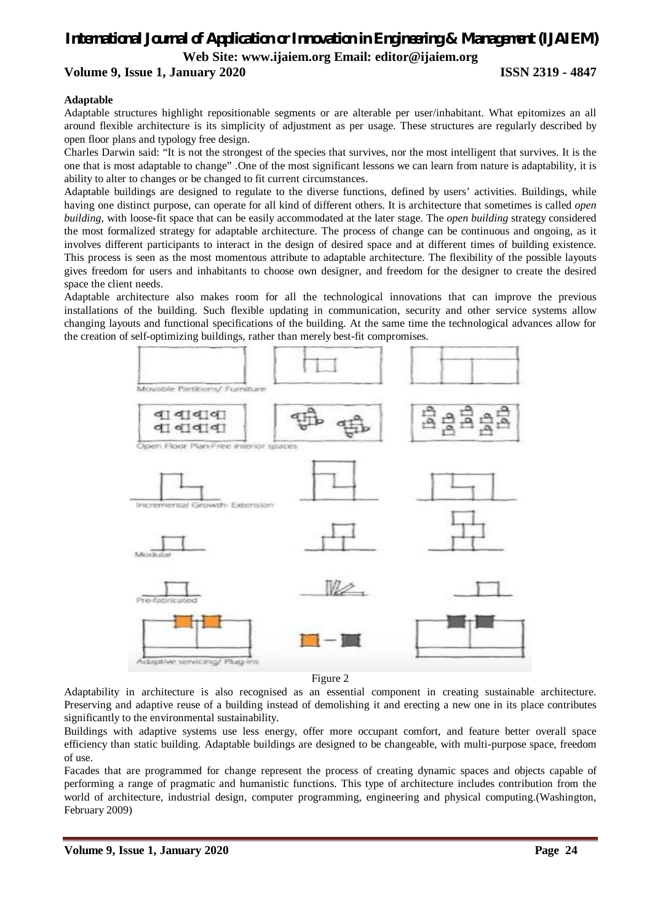**Volume 9, Issue 1, January 2020 ISSN 2319 - 4847**

#### **Adaptable**

Adaptable structures highlight repositionable segments or are alterable per user/inhabitant. What epitomizes an all around flexible architecture is its simplicity of adjustment as per usage. These structures are regularly described by open floor plans and typology free design.

Charles Darwin said: "It is not the strongest of the species that survives, nor the most intelligent that survives. It is the one that is most adaptable to change" .One of the most significant lessons we can learn from nature is adaptability, it is ability to alter to changes or be changed to fit current circumstances.

Adaptable buildings are designed to regulate to the diverse functions, defined by users' activities. Buildings, while having one distinct purpose, can operate for all kind of different others. It is architecture that sometimes is called *open building*, with loose-fit space that can be easily accommodated at the later stage. The *open building* strategy considered the most formalized strategy for adaptable architecture. The process of change can be continuous and ongoing, as it involves different participants to interact in the design of desired space and at different times of building existence. This process is seen as the most momentous attribute to adaptable architecture. The flexibility of the possible layouts gives freedom for users and inhabitants to choose own designer, and freedom for the designer to create the desired space the client needs.

Adaptable architecture also makes room for all the technological innovations that can improve the previous installations of the building. Such flexible updating in communication, security and other service systems allow changing layouts and functional specifications of the building. At the same time the technological advances allow for the creation of self-optimizing buildings, rather than merely best-fit compromises.



Figure 2

Adaptability in architecture is also recognised as an essential component in creating sustainable architecture. Preserving and adaptive reuse of a building instead of demolishing it and erecting a new one in its place contributes significantly to the environmental sustainability.

Buildings with adaptive systems use less energy, offer more occupant comfort, and feature better overall space efficiency than static building. Adaptable buildings are designed to be changeable, with multi-purpose space, freedom of use.

Facades that are programmed for change represent the process of creating dynamic spaces and objects capable of performing a range of pragmatic and humanistic functions. This type of architecture includes contribution from the world of architecture, industrial design, computer programming, engineering and physical computing.(Washington, February 2009)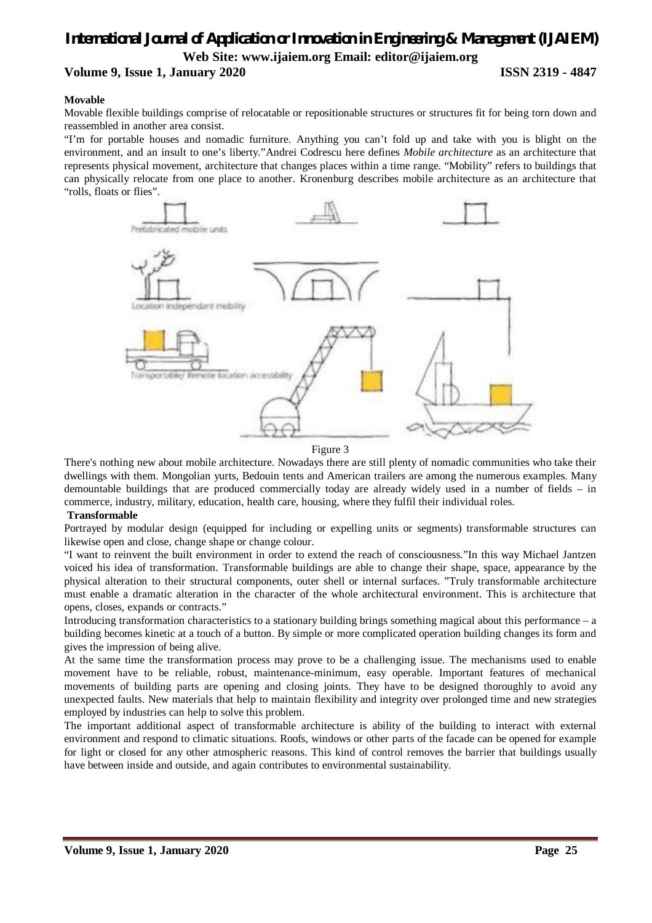# **Volume 9, Issue 1, January 2020 ISSN 2319 - 4847**

#### **Movable**

Movable flexible buildings comprise of relocatable or repositionable structures or structures fit for being torn down and reassembled in another area consist.

"I'm for portable houses and nomadic furniture. Anything you can't fold up and take with you is blight on the environment, and an insult to one's liberty."Andrei Codrescu here defines *Mobile architecture* as an architecture that represents physical movement, architecture that changes places within a time range. "Mobility" refers to buildings that can physically relocate from one place to another. Kronenburg describes mobile architecture as an architecture that "rolls, floats or flies".



Figure 3

There's nothing new about mobile architecture. Nowadays there are still plenty of nomadic communities who take their dwellings with them. Mongolian yurts, Bedouin tents and American trailers are among the numerous examples. Many demountable buildings that are produced commercially today are already widely used in a number of fields – in commerce, industry, military, education, health care, housing, where they fulfil their individual roles.

#### **Transformable**

Portrayed by modular design (equipped for including or expelling units or segments) transformable structures can likewise open and close, change shape or change colour.

"I want to reinvent the built environment in order to extend the reach of consciousness."In this way Michael Jantzen voiced his idea of transformation. Transformable buildings are able to change their shape, space, appearance by the physical alteration to their structural components, outer shell or internal surfaces. "Truly transformable architecture must enable a dramatic alteration in the character of the whole architectural environment. This is architecture that opens, closes, expands or contracts."

Introducing transformation characteristics to a stationary building brings something magical about this performance – a building becomes kinetic at a touch of a button. By simple or more complicated operation building changes its form and gives the impression of being alive.

At the same time the transformation process may prove to be a challenging issue. The mechanisms used to enable movement have to be reliable, robust, maintenance-minimum, easy operable. Important features of mechanical movements of building parts are opening and closing joints. They have to be designed thoroughly to avoid any unexpected faults. New materials that help to maintain flexibility and integrity over prolonged time and new strategies employed by industries can help to solve this problem.

The important additional aspect of transformable architecture is ability of the building to interact with external environment and respond to climatic situations. Roofs, windows or other parts of the facade can be opened for example for light or closed for any other atmospheric reasons. This kind of control removes the barrier that buildings usually have between inside and outside, and again contributes to environmental sustainability.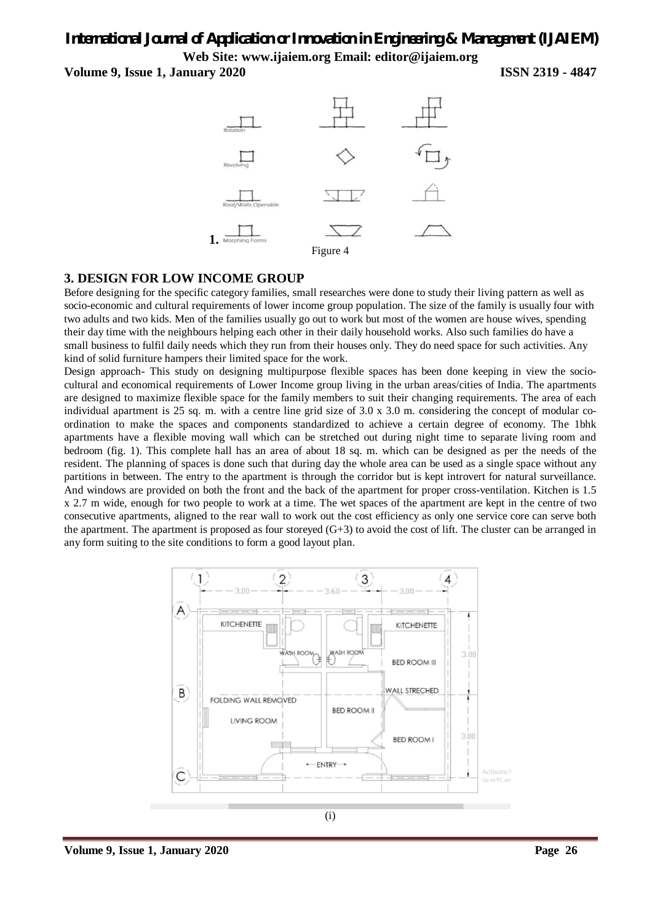**Volume 9, Issue 1, January 2020 ISSN 2319 - 4847**



## **3. DESIGN FOR LOW INCOME GROUP**

Before designing for the specific category families, small researches were done to study their living pattern as well as socio-economic and cultural requirements of lower income group population. The size of the family is usually four with two adults and two kids. Men of the families usually go out to work but most of the women are house wives, spending their day time with the neighbours helping each other in their daily household works. Also such families do have a small business to fulfil daily needs which they run from their houses only. They do need space for such activities. Any kind of solid furniture hampers their limited space for the work.

Design approach- This study on designing multipurpose flexible spaces has been done keeping in view the sociocultural and economical requirements of Lower Income group living in the urban areas/cities of India. The apartments are designed to maximize flexible space for the family members to suit their changing requirements. The area of each individual apartment is 25 sq. m. with a centre line grid size of 3.0 x 3.0 m. considering the concept of modular coordination to make the spaces and components standardized to achieve a certain degree of economy. The 1bhk apartments have a flexible moving wall which can be stretched out during night time to separate living room and bedroom (fig. 1). This complete hall has an area of about 18 sq. m. which can be designed as per the needs of the resident. The planning of spaces is done such that during day the whole area can be used as a single space without any partitions in between. The entry to the apartment is through the corridor but is kept introvert for natural surveillance. And windows are provided on both the front and the back of the apartment for proper cross-ventilation. Kitchen is 1.5 x 2.7 m wide, enough for two people to work at a time. The wet spaces of the apartment are kept in the centre of two consecutive apartments, aligned to the rear wall to work out the cost efficiency as only one service core can serve both the apartment. The apartment is proposed as four storeyed (G+3) to avoid the cost of lift. The cluster can be arranged in any form suiting to the site conditions to form a good layout plan.

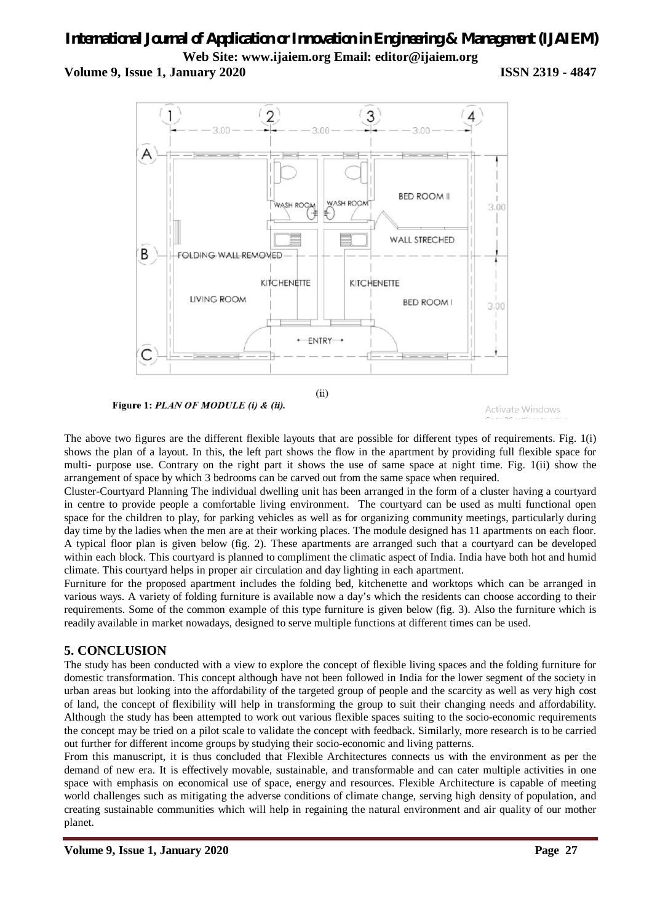**Volume 9, Issue 1, January 2020 ISSN 2319 - 4847**



Figure 1: PLAN OF MODULE (i) & (ii).

```
Activate Windows
```
The above two figures are the different flexible layouts that are possible for different types of requirements. Fig. 1(i) shows the plan of a layout. In this, the left part shows the flow in the apartment by providing full flexible space for multi- purpose use. Contrary on the right part it shows the use of same space at night time. Fig. 1(ii) show the arrangement of space by which 3 bedrooms can be carved out from the same space when required.

Cluster-Courtyard Planning The individual dwelling unit has been arranged in the form of a cluster having a courtyard in centre to provide people a comfortable living environment. The courtyard can be used as multi functional open space for the children to play, for parking vehicles as well as for organizing community meetings, particularly during day time by the ladies when the men are at their working places. The module designed has 11 apartments on each floor. A typical floor plan is given below (fig. 2). These apartments are arranged such that a courtyard can be developed within each block. This courtyard is planned to compliment the climatic aspect of India. India have both hot and humid climate. This courtyard helps in proper air circulation and day lighting in each apartment.

Furniture for the proposed apartment includes the folding bed, kitchenette and worktops which can be arranged in various ways. A variety of folding furniture is available now a day's which the residents can choose according to their requirements. Some of the common example of this type furniture is given below (fig. 3). Also the furniture which is readily available in market nowadays, designed to serve multiple functions at different times can be used.

# **5. CONCLUSION**

The study has been conducted with a view to explore the concept of flexible living spaces and the folding furniture for domestic transformation. This concept although have not been followed in India for the lower segment of the society in urban areas but looking into the affordability of the targeted group of people and the scarcity as well as very high cost of land, the concept of flexibility will help in transforming the group to suit their changing needs and affordability. Although the study has been attempted to work out various flexible spaces suiting to the socio-economic requirements the concept may be tried on a pilot scale to validate the concept with feedback. Similarly, more research is to be carried out further for different income groups by studying their socio-economic and living patterns.

From this manuscript, it is thus concluded that Flexible Architectures connects us with the environment as per the demand of new era. It is effectively movable, sustainable, and transformable and can cater multiple activities in one space with emphasis on economical use of space, energy and resources. Flexible Architecture is capable of meeting world challenges such as mitigating the adverse conditions of climate change, serving high density of population, and creating sustainable communities which will help in regaining the natural environment and air quality of our mother planet.